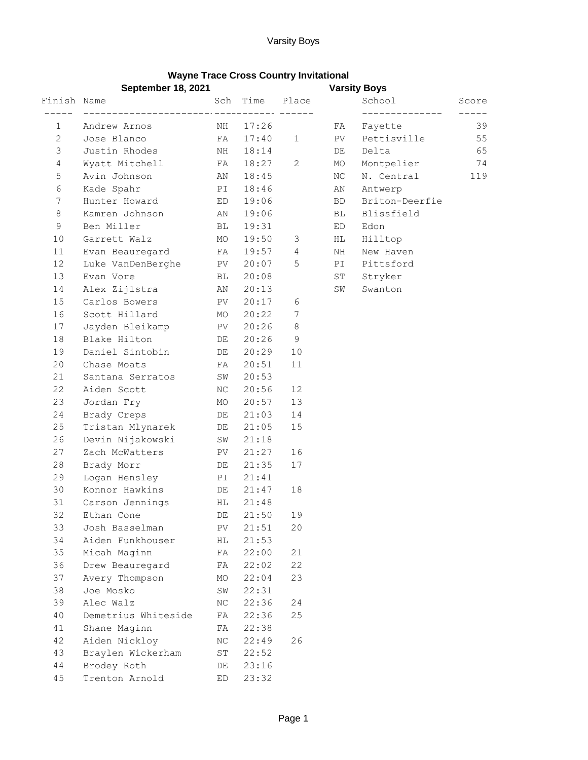## **Wayne Trace Cross Country Invitational**

|              | September 18, 2021  |           |          |              | <b>Varsity Boys</b> |                |       |
|--------------|---------------------|-----------|----------|--------------|---------------------|----------------|-------|
| Finish Name  |                     |           | Sch Time | Place        |                     | School         | Score |
| $\mathbf 1$  | Andrew Arnos        | NH        | 17:26    | _____ ______ | FA                  | Fayette        | 39    |
| $\mathbf{2}$ | Jose Blanco         | FA        | 17:40    | $\mathbf{1}$ | PV                  | Pettisville    | 55    |
| 3            | Justin Rhodes       | NH        | 18:14    |              | DE                  | Delta          | 65    |
| 4            | Wyatt Mitchell      | FA        | 18:27    | 2            | МO                  | Montpelier     | 74    |
| 5            | Avin Johnson        | AN        | 18:45    |              | NC.                 | N. Central     | 119   |
| 6            | Kade Spahr          | PI        | 18:46    |              | ΑN                  | Antwerp        |       |
| 7            | Hunter Howard       | ED        | 19:06    |              | BD.                 | Briton-Deerfie |       |
| 8            | Kamren Johnson      | AN        | 19:06    |              | BL                  | Blissfield     |       |
| 9            | Ben Miller          | BL        | 19:31    |              | ED                  | Edon           |       |
| 10           | Garrett Walz        | MO        | 19:50    | 3            | HL                  | Hilltop        |       |
| 11           | Evan Beauregard     | FA        | 19:57    | 4            | NH                  | New Haven      |       |
| 12           | Luke VanDenBerghe   | PV        | 20:07    | 5            | PI                  | Pittsford      |       |
| 13           | Evan Vore           | BL        | 20:08    |              | ST                  | Stryker        |       |
| 14           | Alex Zijlstra       | AN        | 20:13    |              | SW                  | Swanton        |       |
| 15           | Carlos Bowers       | PV        | 20:17    | 6            |                     |                |       |
| 16           | Scott Hillard       | MO        | 20:22    | 7            |                     |                |       |
| 17           | Jayden Bleikamp     | PV        | 20:26    | 8            |                     |                |       |
| 18           | Blake Hilton        | DE        | 20:26    | 9            |                     |                |       |
| 19           | Daniel Sintobin     | DE        | 20:29    | 10           |                     |                |       |
| 20           | Chase Moats         | FA        | 20:51    | 11           |                     |                |       |
| 21           | Santana Serratos    | SW        | 20:53    |              |                     |                |       |
| 22           | Aiden Scott         | ΝC        | 20:56    | 12           |                     |                |       |
| 23           | Jordan Fry          | МO        | 20:57    | 13           |                     |                |       |
| 24           | Brady Creps         | DE        | 21:03    | 14           |                     |                |       |
| 25           | Tristan Mlynarek    | DE        | 21:05    | 15           |                     |                |       |
| 26           | Devin Nijakowski    | SW        | 21:18    |              |                     |                |       |
| 27           | Zach McWatters      | PV        | 21:27    | 16           |                     |                |       |
| 28           | Brady Morr          | DE        | 21:35    | 17           |                     |                |       |
| 29           | Logan Hensley       | PI        | 21:41    |              |                     |                |       |
| 30           | Konnor Hawkins      | DE        | 21:47    | 18           |                     |                |       |
| 31           | Carson Jennings     | HL.       | 21:48    |              |                     |                |       |
| 32           | Ethan Cone          | DE        | 21:50    | 19           |                     |                |       |
| 33           | Josh Basselman      | PV        | 21:51    | 20           |                     |                |       |
| 34           | Aiden Funkhouser    | НL        | 21:53    |              |                     |                |       |
| 35           | Micah Maginn        | FA        | 22:00    | 21           |                     |                |       |
| 36           | Drew Beauregard     | FA        | 22:02    | 22           |                     |                |       |
| 37           | Avery Thompson      | МO        | 22:04    | 23           |                     |                |       |
| 38           | Joe Mosko           | SW        | 22:31    |              |                     |                |       |
| 39           | Alec Walz           | $\rm{NC}$ | 22:36    | 24           |                     |                |       |
| 40           | Demetrius Whiteside | FA        | 22:36    | 25           |                     |                |       |
| 41           | Shane Maginn        | FA        | 22:38    |              |                     |                |       |
| 42           | Aiden Nickloy       | ΝC        | 22:49    | 26           |                     |                |       |
| 43           | Braylen Wickerham   | ST        | 22:52    |              |                     |                |       |
| $4\,4$       | Brodey Roth         | DE        | 23:16    |              |                     |                |       |
| 45           | Trenton Arnold      | ED        | 23:32    |              |                     |                |       |